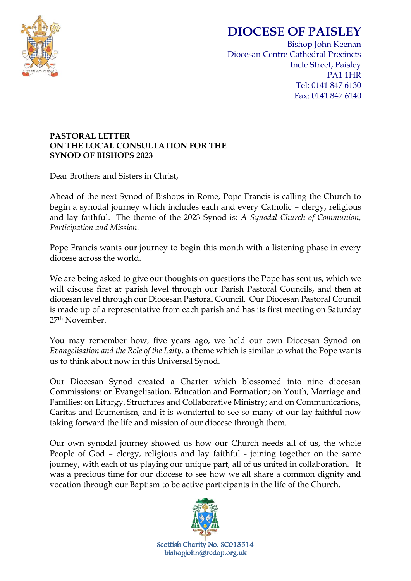

## **DIOCESE OF PAISLEY**

Bishop John Keenan Diocesan Centre Cathedral Precincts Incle Street, Paisley PA1 1HR Tel: 0141 847 6130 Fax: 0141 847 6140

## **PASTORAL LETTER ON THE LOCAL CONSULTATION FOR THE SYNOD OF BISHOPS 2023**

Dear Brothers and Sisters in Christ,

Ahead of the next Synod of Bishops in Rome, Pope Francis is calling the Church to begin a synodal journey which includes each and every Catholic – clergy, religious and lay faithful. The theme of the 2023 Synod is: *A Synodal Church of Communion, Participation and Mission.*

Pope Francis wants our journey to begin this month with a listening phase in every diocese across the world.

We are being asked to give our thoughts on questions the Pope has sent us, which we will discuss first at parish level through our Parish Pastoral Councils, and then at diocesan level through our Diocesan Pastoral Council. Our Diocesan Pastoral Council is made up of a representative from each parish and has its first meeting on Saturday 27th November.

You may remember how, five years ago, we held our own Diocesan Synod on *Evangelisation and the Role of the Laity*, a theme which is similar to what the Pope wants us to think about now in this Universal Synod.

Our Diocesan Synod created a Charter which blossomed into nine diocesan Commissions: on Evangelisation, Education and Formation; on Youth, Marriage and Families; on Liturgy, Structures and Collaborative Ministry; and on Communications, Caritas and Ecumenism, and it is wonderful to see so many of our lay faithful now taking forward the life and mission of our diocese through them.

Our own synodal journey showed us how our Church needs all of us, the whole People of God – clergy, religious and lay faithful - joining together on the same journey, with each of us playing our unique part, all of us united in collaboration. It was a precious time for our diocese to see how we all share a common dignity and vocation through our Baptism to be active participants in the life of the Church.